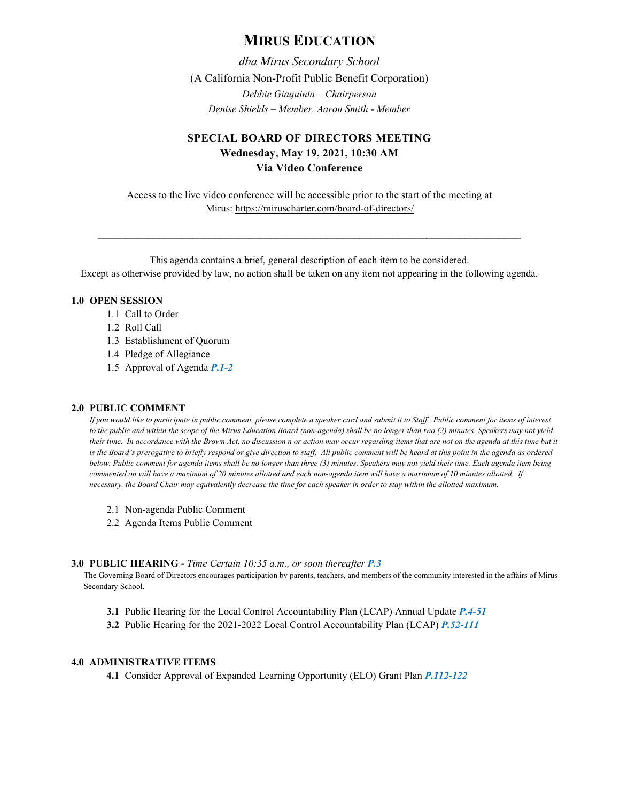# **MIRUS EDUCATION**

*dba Mirus Secondary School* (A California Non-Profit Public Benefit Corporation) *Debbie Giaquinta – Chairperson Denise Shields – Member, Aaron Smith - Member*

## **SPECIAL BOARD OF DIRECTORS MEETING Wednesday, May 19, 2021, 10:30 AM Via Video Conference**

Access to the live video conference will be accessible prior to the start of the meeting at Mirus:<https://miruscharter.com/board-of-directors/>

\_\_\_\_\_\_\_\_\_\_\_\_\_\_\_\_\_\_\_\_\_\_\_\_\_\_\_\_\_\_\_\_\_\_\_\_\_\_\_\_\_\_\_\_\_\_\_\_\_\_\_\_\_\_\_\_\_\_\_\_\_\_\_\_\_\_\_\_\_\_\_\_\_\_\_\_

This agenda contains a brief, general description of each item to be considered. Except as otherwise provided by law, no action shall be taken on any item not appearing in the following agenda.

## **1.0 OPEN SESSION**

- 1.1 Call to Order
- 1.2 Roll Call
- 1.3 Establishment of Quorum
- 1.4 Pledge of Allegiance
- 1.5 Approval of Agenda *P.1-2*

#### **2.0 PUBLIC COMMENT**

*If you would like to participate in public comment, please complete a speaker card and submit it to Staff. Public comment for items of interest to the public and within the scope of the Mirus Education Board (non-agenda) shall be no longer than two (2) minutes. Speakers may not yield their time. In accordance with the Brown Act, no discussion n or action may occur regarding items that are not on the agenda at this time but it*  is the Board's prerogative to briefly respond or give direction to staff. All public comment will be heard at this point in the agenda as ordered *below. Public comment for agenda items shall be no longer than three (3) minutes. Speakers may not yield their time. Each agenda item being commented on will have a maximum of 20 minutes allotted and each non-agenda item will have a maximum of 10 minutes allotted. If necessary, the Board Chair may equivalently decrease the time for each speaker in order to stay within the allotted maximum.*

- 2.1 Non-agenda Public Comment
- 2.2 Agenda Items Public Comment

#### **3.0 PUBLIC HEARING -** *Time Certain 10:35 a.m., or soon thereafter P.3*

The Governing Board of Directors encourages participation by parents, teachers, and members of the community interested in the affairs of Mirus Secondary School.

- **3.1** Public Hearing for the Local Control Accountability Plan (LCAP) Annual Update *P.4-51*
- **3.2** Public Hearing for the 2021-2022 Local Control Accountability Plan (LCAP) *P.52-111*

### **4.0 ADMINISTRATIVE ITEMS**

**4.1** Consider Approval of Expanded Learning Opportunity (ELO) Grant Plan *P.112-122*